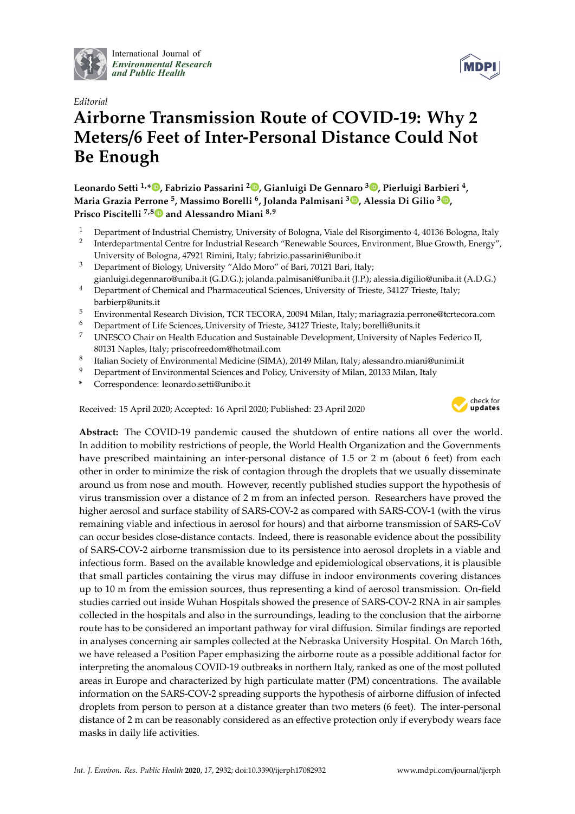

International Journal of *[Environmental Research](http://www.mdpi.com/journal/ijerph) and Public Health*



## *Editorial* **Airborne Transmission Route of COVID-19: Why 2 Meters**/**6 Feet of Inter-Personal Distance Could Not Be Enough**

**Leonardo Setti 1,\* [,](https://orcid.org/0000-0002-4471-4609) Fabrizio Passarini <sup>2</sup> [,](https://orcid.org/0000-0002-9870-9258) Gianluigi De Gennaro <sup>3</sup> [,](https://orcid.org/0000-0002-6868-6569) Pierluigi Barbieri <sup>4</sup> , Maria Grazia Perrone <sup>5</sup> , Massimo Borelli <sup>6</sup> , Jolanda Palmisani <sup>3</sup> [,](https://orcid.org/0000-0003-2178-5743) Alessia Di Gilio <sup>3</sup> [,](https://orcid.org/0000-0001-9951-4498) Prisco Piscitelli 7,[8](https://orcid.org/0000-0003-4556-6182) and Alessandro Miani 8,9**

- <sup>1</sup> Department of Industrial Chemistry, University of Bologna, Viale del Risorgimento 4, 40136 Bologna, Italy
- 2 Interdepartmental Centre for Industrial Research "Renewable Sources, Environment, Blue Growth, Energy", University of Bologna, 47921 Rimini, Italy; fabrizio.passarini@unibo.it
- <sup>3</sup> Department of Biology, University "Aldo Moro" of Bari, 70121 Bari, Italy; gianluigi.degennaro@uniba.it (G.D.G.); jolanda.palmisani@uniba.it (J.P.); alessia.digilio@uniba.it (A.D.G.)
- <sup>4</sup> Department of Chemical and Pharmaceutical Sciences, University of Trieste, 34127 Trieste, Italy; barbierp@units.it
- <sup>5</sup> Environmental Research Division, TCR TECORA, 20094 Milan, Italy; mariagrazia.perrone@tcrtecora.com
- <sup>6</sup> Department of Life Sciences, University of Trieste, 34127 Trieste, Italy; borelli@units.it
- <sup>7</sup> UNESCO Chair on Health Education and Sustainable Development, University of Naples Federico II, 80131 Naples, Italy; priscofreedom@hotmail.com
- 8 Italian Society of Environmental Medicine (SIMA), 20149 Milan, Italy; alessandro.miani@unimi.it
- <sup>9</sup> Department of Environmental Sciences and Policy, University of Milan, 20133 Milan, Italy
- **\*** Correspondence: leonardo.setti@unibo.it

Received: 15 April 2020; Accepted: 16 April 2020; Published: 23 April 2020



**Abstract:** The COVID-19 pandemic caused the shutdown of entire nations all over the world. In addition to mobility restrictions of people, the World Health Organization and the Governments have prescribed maintaining an inter-personal distance of 1.5 or 2 m (about 6 feet) from each other in order to minimize the risk of contagion through the droplets that we usually disseminate around us from nose and mouth. However, recently published studies support the hypothesis of virus transmission over a distance of 2 m from an infected person. Researchers have proved the higher aerosol and surface stability of SARS-COV-2 as compared with SARS-COV-1 (with the virus remaining viable and infectious in aerosol for hours) and that airborne transmission of SARS-CoV can occur besides close-distance contacts. Indeed, there is reasonable evidence about the possibility of SARS-COV-2 airborne transmission due to its persistence into aerosol droplets in a viable and infectious form. Based on the available knowledge and epidemiological observations, it is plausible that small particles containing the virus may diffuse in indoor environments covering distances up to 10 m from the emission sources, thus representing a kind of aerosol transmission. On-field studies carried out inside Wuhan Hospitals showed the presence of SARS-COV-2 RNA in air samples collected in the hospitals and also in the surroundings, leading to the conclusion that the airborne route has to be considered an important pathway for viral diffusion. Similar findings are reported in analyses concerning air samples collected at the Nebraska University Hospital. On March 16th, we have released a Position Paper emphasizing the airborne route as a possible additional factor for interpreting the anomalous COVID-19 outbreaks in northern Italy, ranked as one of the most polluted areas in Europe and characterized by high particulate matter (PM) concentrations. The available information on the SARS-COV-2 spreading supports the hypothesis of airborne diffusion of infected droplets from person to person at a distance greater than two meters (6 feet). The inter-personal distance of 2 m can be reasonably considered as an effective protection only if everybody wears face masks in daily life activities.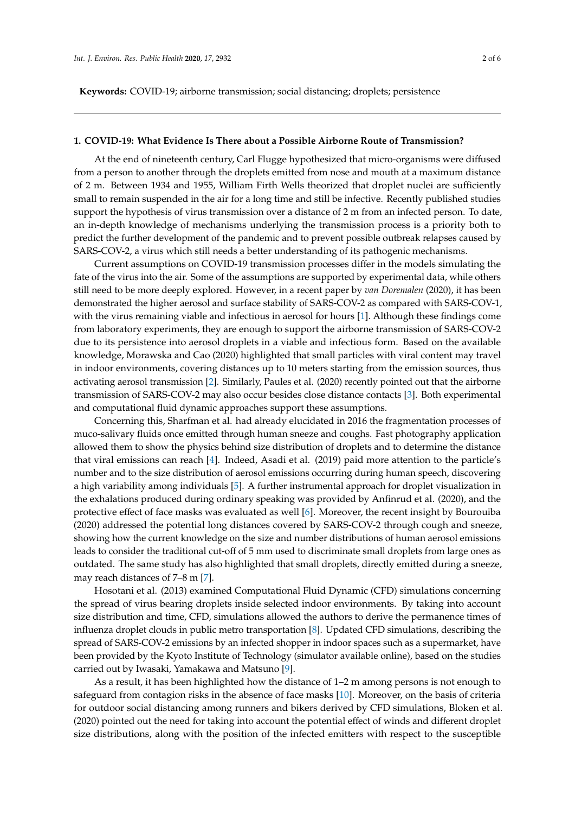**Keywords:** COVID-19; airborne transmission; social distancing; droplets; persistence

## **1. COVID-19: What Evidence Is There about a Possible Airborne Route of Transmission?**

At the end of nineteenth century, Carl Flugge hypothesized that micro-organisms were diffused from a person to another through the droplets emitted from nose and mouth at a maximum distance of 2 m. Between 1934 and 1955, William Firth Wells theorized that droplet nuclei are sufficiently small to remain suspended in the air for a long time and still be infective. Recently published studies support the hypothesis of virus transmission over a distance of 2 m from an infected person. To date, an in-depth knowledge of mechanisms underlying the transmission process is a priority both to predict the further development of the pandemic and to prevent possible outbreak relapses caused by SARS-COV-2, a virus which still needs a better understanding of its pathogenic mechanisms.

Current assumptions on COVID-19 transmission processes differ in the models simulating the fate of the virus into the air. Some of the assumptions are supported by experimental data, while others still need to be more deeply explored. However, in a recent paper by *van Doremalen* (2020), it has been demonstrated the higher aerosol and surface stability of SARS-COV-2 as compared with SARS-COV-1, with the virus remaining viable and infectious in aerosol for hours [\[1\]](#page-4-0). Although these findings come from laboratory experiments, they are enough to support the airborne transmission of SARS-COV-2 due to its persistence into aerosol droplets in a viable and infectious form. Based on the available knowledge, Morawska and Cao (2020) highlighted that small particles with viral content may travel in indoor environments, covering distances up to 10 meters starting from the emission sources, thus activating aerosol transmission [\[2\]](#page-4-1). Similarly, Paules et al. (2020) recently pointed out that the airborne transmission of SARS-COV-2 may also occur besides close distance contacts [\[3\]](#page-4-2). Both experimental and computational fluid dynamic approaches support these assumptions.

Concerning this, Sharfman et al. had already elucidated in 2016 the fragmentation processes of muco-salivary fluids once emitted through human sneeze and coughs. Fast photography application allowed them to show the physics behind size distribution of droplets and to determine the distance that viral emissions can reach [\[4\]](#page-4-3). Indeed, Asadi et al. (2019) paid more attention to the particle's number and to the size distribution of aerosol emissions occurring during human speech, discovering a high variability among individuals [\[5\]](#page-4-4). A further instrumental approach for droplet visualization in the exhalations produced during ordinary speaking was provided by Anfinrud et al. (2020), and the protective effect of face masks was evaluated as well [\[6\]](#page-4-5). Moreover, the recent insight by Bourouiba (2020) addressed the potential long distances covered by SARS-COV-2 through cough and sneeze, showing how the current knowledge on the size and number distributions of human aerosol emissions leads to consider the traditional cut-off of 5 mm used to discriminate small droplets from large ones as outdated. The same study has also highlighted that small droplets, directly emitted during a sneeze, may reach distances of 7–8 m [\[7\]](#page-4-6).

Hosotani et al. (2013) examined Computational Fluid Dynamic (CFD) simulations concerning the spread of virus bearing droplets inside selected indoor environments. By taking into account size distribution and time, CFD, simulations allowed the authors to derive the permanence times of influenza droplet clouds in public metro transportation [\[8\]](#page-4-7). Updated CFD simulations, describing the spread of SARS-COV-2 emissions by an infected shopper in indoor spaces such as a supermarket, have been provided by the Kyoto Institute of Technology (simulator available online), based on the studies carried out by Iwasaki, Yamakawa and Matsuno [\[9\]](#page-4-8).

As a result, it has been highlighted how the distance of 1–2 m among persons is not enough to safeguard from contagion risks in the absence of face masks [\[10\]](#page-4-9). Moreover, on the basis of criteria for outdoor social distancing among runners and bikers derived by CFD simulations, Bloken et al. (2020) pointed out the need for taking into account the potential effect of winds and different droplet size distributions, along with the position of the infected emitters with respect to the susceptible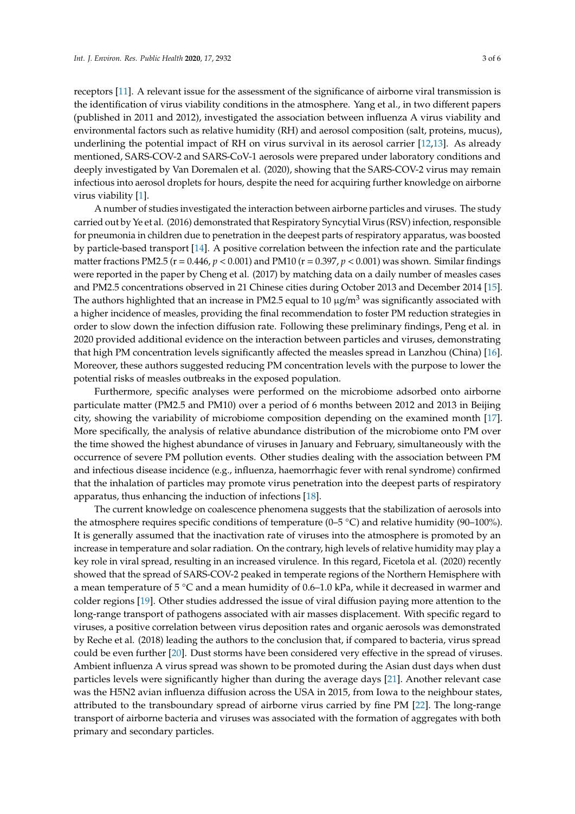receptors [\[11\]](#page-4-10). A relevant issue for the assessment of the significance of airborne viral transmission is the identification of virus viability conditions in the atmosphere. Yang et al., in two different papers (published in 2011 and 2012), investigated the association between influenza A virus viability and environmental factors such as relative humidity (RH) and aerosol composition (salt, proteins, mucus), underlining the potential impact of RH on virus survival in its aerosol carrier [\[12,](#page-4-11)[13\]](#page-4-12). As already mentioned, SARS-COV-2 and SARS-CoV-1 aerosols were prepared under laboratory conditions and deeply investigated by Van Doremalen et al. (2020), showing that the SARS-COV-2 virus may remain infectious into aerosol droplets for hours, despite the need for acquiring further knowledge on airborne virus viability [\[1\]](#page-4-0).

A number of studies investigated the interaction between airborne particles and viruses. The study carried out by Ye et al. (2016) demonstrated that Respiratory Syncytial Virus (RSV) infection, responsible for pneumonia in children due to penetration in the deepest parts of respiratory apparatus, was boosted by particle-based transport [\[14\]](#page-4-13). A positive correlation between the infection rate and the particulate matter fractions PM2.5 ( $r = 0.446$ ,  $p < 0.001$ ) and PM10 ( $r = 0.397$ ,  $p < 0.001$ ) was shown. Similar findings were reported in the paper by Cheng et al. (2017) by matching data on a daily number of measles cases and PM2.5 concentrations observed in 21 Chinese cities during October 2013 and December 2014 [\[15\]](#page-4-14). The authors highlighted that an increase in PM2.5 equal to 10  $\mu$ g/m<sup>3</sup> was significantly associated with a higher incidence of measles, providing the final recommendation to foster PM reduction strategies in order to slow down the infection diffusion rate. Following these preliminary findings, Peng et al. in 2020 provided additional evidence on the interaction between particles and viruses, demonstrating that high PM concentration levels significantly affected the measles spread in Lanzhou (China) [\[16\]](#page-4-15). Moreover, these authors suggested reducing PM concentration levels with the purpose to lower the potential risks of measles outbreaks in the exposed population.

Furthermore, specific analyses were performed on the microbiome adsorbed onto airborne particulate matter (PM2.5 and PM10) over a period of 6 months between 2012 and 2013 in Beijing city, showing the variability of microbiome composition depending on the examined month [\[17\]](#page-4-16). More specifically, the analysis of relative abundance distribution of the microbiome onto PM over the time showed the highest abundance of viruses in January and February, simultaneously with the occurrence of severe PM pollution events. Other studies dealing with the association between PM and infectious disease incidence (e.g., influenza, haemorrhagic fever with renal syndrome) confirmed that the inhalation of particles may promote virus penetration into the deepest parts of respiratory apparatus, thus enhancing the induction of infections [\[18\]](#page-5-0).

The current knowledge on coalescence phenomena suggests that the stabilization of aerosols into the atmosphere requires specific conditions of temperature (0–5  $\degree$ C) and relative humidity (90–100%). It is generally assumed that the inactivation rate of viruses into the atmosphere is promoted by an increase in temperature and solar radiation. On the contrary, high levels of relative humidity may play a key role in viral spread, resulting in an increased virulence. In this regard, Ficetola et al. (2020) recently showed that the spread of SARS-COV-2 peaked in temperate regions of the Northern Hemisphere with a mean temperature of 5 ◦C and a mean humidity of 0.6–1.0 kPa, while it decreased in warmer and colder regions [\[19\]](#page-5-1). Other studies addressed the issue of viral diffusion paying more attention to the long-range transport of pathogens associated with air masses displacement. With specific regard to viruses, a positive correlation between virus deposition rates and organic aerosols was demonstrated by Reche et al. (2018) leading the authors to the conclusion that, if compared to bacteria, virus spread could be even further [\[20\]](#page-5-2). Dust storms have been considered very effective in the spread of viruses. Ambient influenza A virus spread was shown to be promoted during the Asian dust days when dust particles levels were significantly higher than during the average days [\[21\]](#page-5-3). Another relevant case was the H5N2 avian influenza diffusion across the USA in 2015, from Iowa to the neighbour states, attributed to the transboundary spread of airborne virus carried by fine PM [\[22\]](#page-5-4). The long-range transport of airborne bacteria and viruses was associated with the formation of aggregates with both primary and secondary particles.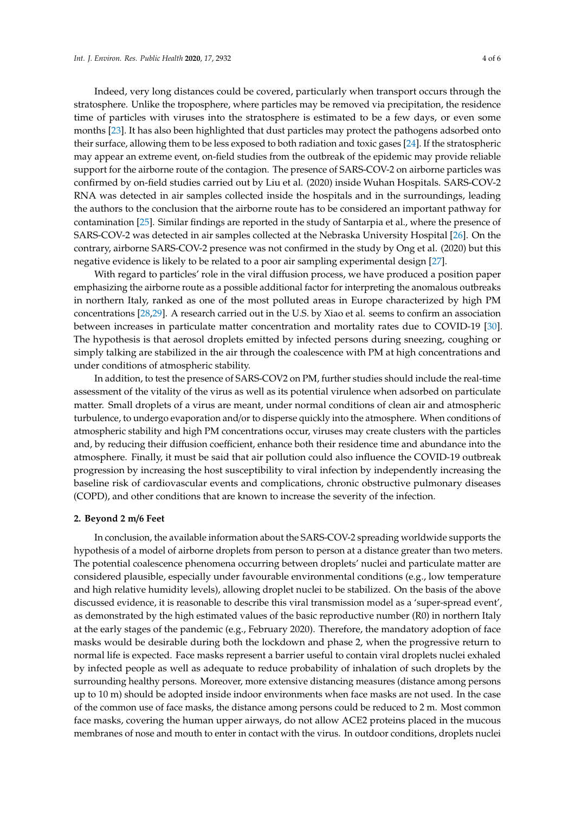Indeed, very long distances could be covered, particularly when transport occurs through the stratosphere. Unlike the troposphere, where particles may be removed via precipitation, the residence time of particles with viruses into the stratosphere is estimated to be a few days, or even some months [\[23\]](#page-5-5). It has also been highlighted that dust particles may protect the pathogens adsorbed onto their surface, allowing them to be less exposed to both radiation and toxic gases [\[24\]](#page-5-6). If the stratospheric may appear an extreme event, on-field studies from the outbreak of the epidemic may provide reliable support for the airborne route of the contagion. The presence of SARS-COV-2 on airborne particles was confirmed by on-field studies carried out by Liu et al. (2020) inside Wuhan Hospitals. SARS-COV-2 RNA was detected in air samples collected inside the hospitals and in the surroundings, leading the authors to the conclusion that the airborne route has to be considered an important pathway for contamination [\[25\]](#page-5-7). Similar findings are reported in the study of Santarpia et al., where the presence of SARS-COV-2 was detected in air samples collected at the Nebraska University Hospital [\[26\]](#page-5-8). On the contrary, airborne SARS-COV-2 presence was not confirmed in the study by Ong et al. (2020) but this negative evidence is likely to be related to a poor air sampling experimental design [\[27\]](#page-5-9).

With regard to particles' role in the viral diffusion process, we have produced a position paper emphasizing the airborne route as a possible additional factor for interpreting the anomalous outbreaks in northern Italy, ranked as one of the most polluted areas in Europe characterized by high PM concentrations [\[28](#page-5-10)[,29\]](#page-5-11). A research carried out in the U.S. by Xiao et al. seems to confirm an association between increases in particulate matter concentration and mortality rates due to COVID-19 [\[30\]](#page-5-12). The hypothesis is that aerosol droplets emitted by infected persons during sneezing, coughing or simply talking are stabilized in the air through the coalescence with PM at high concentrations and under conditions of atmospheric stability.

In addition, to test the presence of SARS-COV2 on PM, further studies should include the real-time assessment of the vitality of the virus as well as its potential virulence when adsorbed on particulate matter. Small droplets of a virus are meant, under normal conditions of clean air and atmospheric turbulence, to undergo evaporation and/or to disperse quickly into the atmosphere. When conditions of atmospheric stability and high PM concentrations occur, viruses may create clusters with the particles and, by reducing their diffusion coefficient, enhance both their residence time and abundance into the atmosphere. Finally, it must be said that air pollution could also influence the COVID-19 outbreak progression by increasing the host susceptibility to viral infection by independently increasing the baseline risk of cardiovascular events and complications, chronic obstructive pulmonary diseases (COPD), and other conditions that are known to increase the severity of the infection.

## **2. Beyond 2 m**/**6 Feet**

In conclusion, the available information about the SARS-COV-2 spreading worldwide supports the hypothesis of a model of airborne droplets from person to person at a distance greater than two meters. The potential coalescence phenomena occurring between droplets' nuclei and particulate matter are considered plausible, especially under favourable environmental conditions (e.g., low temperature and high relative humidity levels), allowing droplet nuclei to be stabilized. On the basis of the above discussed evidence, it is reasonable to describe this viral transmission model as a 'super-spread event', as demonstrated by the high estimated values of the basic reproductive number (R0) in northern Italy at the early stages of the pandemic (e.g., February 2020). Therefore, the mandatory adoption of face masks would be desirable during both the lockdown and phase 2, when the progressive return to normal life is expected. Face masks represent a barrier useful to contain viral droplets nuclei exhaled by infected people as well as adequate to reduce probability of inhalation of such droplets by the surrounding healthy persons. Moreover, more extensive distancing measures (distance among persons up to 10 m) should be adopted inside indoor environments when face masks are not used. In the case of the common use of face masks, the distance among persons could be reduced to 2 m. Most common face masks, covering the human upper airways, do not allow ACE2 proteins placed in the mucous membranes of nose and mouth to enter in contact with the virus. In outdoor conditions, droplets nuclei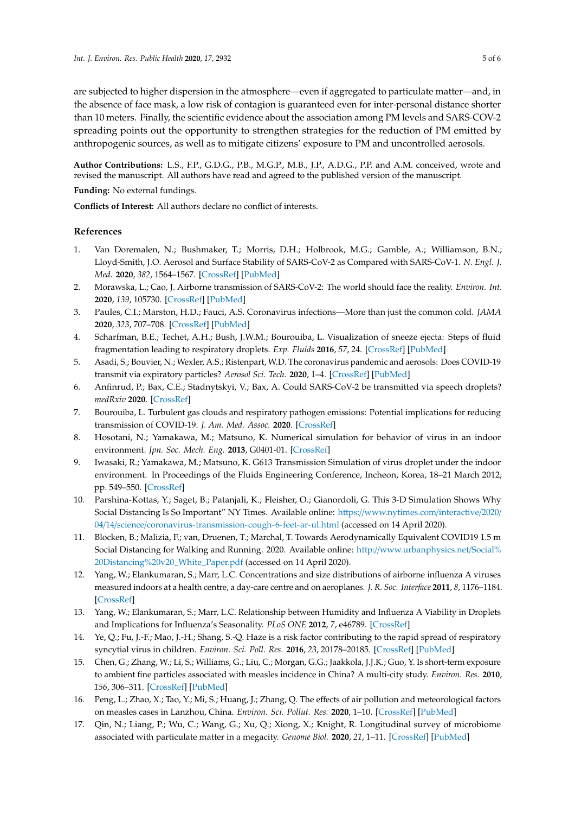are subjected to higher dispersion in the atmosphere—even if aggregated to particulate matter—and, in the absence of face mask, a low risk of contagion is guaranteed even for inter-personal distance shorter than 10 meters. Finally, the scientific evidence about the association among PM levels and SARS-COV-2 spreading points out the opportunity to strengthen strategies for the reduction of PM emitted by anthropogenic sources, as well as to mitigate citizens' exposure to PM and uncontrolled aerosols.

**Author Contributions:** L.S., F.P., G.D.G., P.B., M.G.P., M.B., J.P., A.D.G., P.P. and A.M. conceived, wrote and revised the manuscript. All authors have read and agreed to the published version of the manuscript.

**Funding:** No external fundings.

**Conflicts of Interest:** All authors declare no conflict of interests.

## **References**

- <span id="page-4-0"></span>1. Van Doremalen, N.; Bushmaker, T.; Morris, D.H.; Holbrook, M.G.; Gamble, A.; Williamson, B.N.; Lloyd-Smith, J.O. Aerosol and Surface Stability of SARS-CoV-2 as Compared with SARS-CoV-1. *N. Engl. J. Med.* **2020**, *382*, 1564–1567. [\[CrossRef\]](http://dx.doi.org/10.1056/NEJMc2004973) [\[PubMed\]](http://www.ncbi.nlm.nih.gov/pubmed/32182409)
- <span id="page-4-1"></span>2. Morawska, L.; Cao, J. Airborne transmission of SARS-CoV-2: The world should face the reality. *Environ. Int.* **2020**, *139*, 105730. [\[CrossRef\]](http://dx.doi.org/10.1016/j.envint.2020.105730) [\[PubMed\]](http://www.ncbi.nlm.nih.gov/pubmed/32294574)
- <span id="page-4-2"></span>3. Paules, C.I.; Marston, H.D.; Fauci, A.S. Coronavirus infections—More than just the common cold. *JAMA* **2020**, *323*, 707–708. [\[CrossRef\]](http://dx.doi.org/10.1001/jama.2020.0757) [\[PubMed\]](http://www.ncbi.nlm.nih.gov/pubmed/31971553)
- <span id="page-4-3"></span>4. Scharfman, B.E.; Techet, A.H.; Bush, J.W.M.; Bourouiba, L. Visualization of sneeze ejecta: Steps of fluid fragmentation leading to respiratory droplets. *Exp. Fluids* **2016**, *57*, 24. [\[CrossRef\]](http://dx.doi.org/10.1007/s00348-015-2078-4) [\[PubMed\]](http://www.ncbi.nlm.nih.gov/pubmed/32214638)
- <span id="page-4-4"></span>5. Asadi, S.; Bouvier, N.; Wexler, A.S.; Ristenpart, W.D. The coronavirus pandemic and aerosols: Does COVID-19 transmit via expiratory particles? *Aerosol Sci. Tech.* **2020**, 1–4. [\[CrossRef\]](http://dx.doi.org/10.1080/02786826.2020.1749229) [\[PubMed\]](http://www.ncbi.nlm.nih.gov/pubmed/32308568)
- <span id="page-4-5"></span>6. Anfinrud, P.; Bax, C.E.; Stadnytskyi, V.; Bax, A. Could SARS-CoV-2 be transmitted via speech droplets? *medRxiv* **2020**. [\[CrossRef\]](http://dx.doi.org/10.1101/2020.04.02.20051177)
- <span id="page-4-6"></span>7. Bourouiba, L. Turbulent gas clouds and respiratory pathogen emissions: Potential implications for reducing transmission of COVID-19. *J. Am. Med. Assoc.* **2020**. [\[CrossRef\]](http://dx.doi.org/10.1001/jama.2020.4756)
- <span id="page-4-7"></span>8. Hosotani, N.; Yamakawa, M.; Matsuno, K. Numerical simulation for behavior of virus in an indoor environment. *Jpn. Soc. Mech. Eng.* **2013**, G0401-01. [\[CrossRef\]](http://dx.doi.org/10.1299/jsmefed.2013)
- <span id="page-4-8"></span>9. Iwasaki, R.; Yamakawa, M.; Matsuno, K. G613 Transmission Simulation of virus droplet under the indoor environment. In Proceedings of the Fluids Engineering Conference, Incheon, Korea, 18–21 March 2012; pp. 549–550. [\[CrossRef\]](http://dx.doi.org/10.1299/jsmefed.2012.549)
- <span id="page-4-9"></span>10. Parshina-Kottas, Y.; Saget, B.; Patanjali, K.; Fleisher, O.; Gianordoli, G. This 3-D Simulation Shows Why Social Distancing Is So Important" NY Times. Available online: https://[www.nytimes.com](https://www.nytimes.com/interactive/2020/04/14/science/coronavirus-transmission-cough-6-feet-ar-ul.html)/interactive/2020/ 04/14/science/[coronavirus-transmission-cough-6-feet-ar-ul.html](https://www.nytimes.com/interactive/2020/04/14/science/coronavirus-transmission-cough-6-feet-ar-ul.html) (accessed on 14 April 2020).
- <span id="page-4-10"></span>11. Blocken, B.; Malizia, F.; van, Druenen, T.; Marchal, T. Towards Aerodynamically Equivalent COVID19 1.5 m Social Distancing for Walking and Running. 2020. Available online: http://[www.urbanphysics.net](http://www.urbanphysics.net/Social%20Distancing%20v20_White_Paper.pdf)/Social% [20Distancing%20v20\\_White\\_Paper.pdf](http://www.urbanphysics.net/Social%20Distancing%20v20_White_Paper.pdf) (accessed on 14 April 2020).
- <span id="page-4-11"></span>12. Yang, W.; Elankumaran, S.; Marr, L.C. Concentrations and size distributions of airborne influenza A viruses measured indoors at a health centre, a day-care centre and on aeroplanes. *J. R. Soc. Interface* **2011**, *8*, 1176–1184. [\[CrossRef\]](http://dx.doi.org/10.1098/rsif.2010.0686)
- <span id="page-4-12"></span>13. Yang, W.; Elankumaran, S.; Marr, L.C. Relationship between Humidity and Influenza A Viability in Droplets and Implications for Influenza's Seasonality. *PLoS ONE* **2012**, *7*, e46789. [\[CrossRef\]](http://dx.doi.org/10.1371/journal.pone.0046789)
- <span id="page-4-13"></span>14. Ye, Q.; Fu, J.-F.; Mao, J.-H.; Shang, S.-Q. Haze is a risk factor contributing to the rapid spread of respiratory syncytial virus in children. *Environ. Sci. Poll. Res.* **2016**, *23*, 20178–20185. [\[CrossRef\]](http://dx.doi.org/10.1007/s11356-016-7228-6) [\[PubMed\]](http://www.ncbi.nlm.nih.gov/pubmed/27439752)
- <span id="page-4-14"></span>15. Chen, G.; Zhang, W.; Li, S.; Williams, G.; Liu, C.; Morgan, G.G.; Jaakkola, J.J.K.; Guo, Y. Is short-term exposure to ambient fine particles associated with measles incidence in China? A multi-city study. *Environ. Res.* **2010**, *156*, 306–311. [\[CrossRef\]](http://dx.doi.org/10.1016/j.envres.2017.03.046) [\[PubMed\]](http://www.ncbi.nlm.nih.gov/pubmed/28388516)
- <span id="page-4-15"></span>16. Peng, L.; Zhao, X.; Tao, Y.; Mi, S.; Huang, J.; Zhang, Q. The effects of air pollution and meteorological factors on measles cases in Lanzhou, China. *Environ. Sci. Pollut. Res.* **2020**, 1–10. [\[CrossRef\]](http://dx.doi.org/10.1007/s11356-020-07903-4) [\[PubMed\]](http://www.ncbi.nlm.nih.gov/pubmed/32030582)
- <span id="page-4-16"></span>17. Qin, N.; Liang, P.; Wu, C.; Wang, G.; Xu, Q.; Xiong, X.; Knight, R. Longitudinal survey of microbiome associated with particulate matter in a megacity. *Genome Biol.* **2020**, *21*, 1–11. [\[CrossRef\]](http://dx.doi.org/10.1186/s13059-020-01964-x) [\[PubMed\]](http://www.ncbi.nlm.nih.gov/pubmed/32127018)